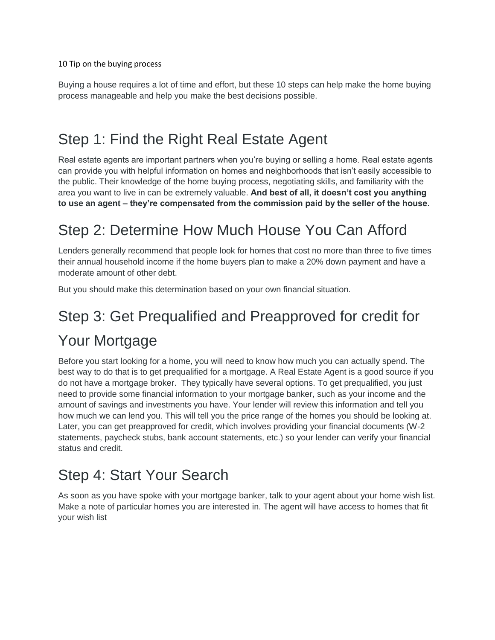10 Tip on the buying process

Buying a house requires a lot of time and effort, but these 10 steps can help make the home buying process manageable and help you make the best decisions possible.

#### Step 1: Find the Right Real Estate Agent

Real estate agents are important partners when you're buying or selling a home. Real estate agents can provide you with helpful information on homes and neighborhoods that isn't easily accessible to the public. Their knowledge of the home buying process, negotiating skills, and familiarity with the area you want to live in can be extremely valuable. **And best of all, it doesn't cost you anything to use an agent – they're compensated from the commission paid by the seller of the house.**

## Step 2: Determine How Much House You Can Afford

Lenders generally recommend that people look for homes that cost no more than three to five times their annual household income if the home buyers plan to make a 20% down payment and have a moderate amount of other debt.

But you should make this determination based on your own financial situation.

# Step 3: Get Prequalified and Preapproved for credit for Your Mortgage

Before you start looking for a home, you will need to know how much you can actually spend. The best way to do that is to get prequalified for a mortgage. A Real Estate Agent is a good source if you do not have a mortgage broker. They typically have several options. To get prequalified, you just need to provide some financial information to your mortgage banker, such as your income and the amount of savings and investments you have. Your lender will review this information and tell you how much we can lend you. This will tell you the price range of the homes you should be looking at. Later, you can get preapproved for credit, which involves providing your financial documents (W-2 statements, paycheck stubs, bank account statements, etc.) so your lender can verify your financial status and credit.

#### Step 4: Start Your Search

As soon as you have spoke with your mortgage banker, talk to your agent about your home wish list. Make a note of particular homes you are interested in. The agent will have access to homes that fit your wish list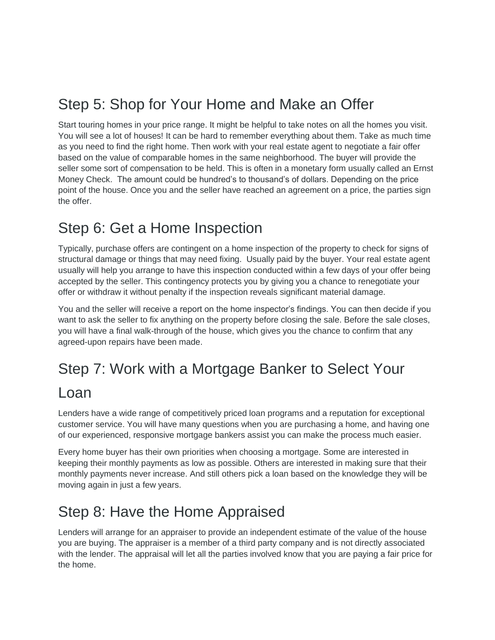## Step 5: Shop for Your Home and Make an Offer

Start touring homes in your price range. It might be helpful to take notes on all the homes you visit. You will see a lot of houses! It can be hard to remember everything about them. Take as much time as you need to find the right home. Then work with your real estate agent to negotiate a fair offer based on the value of comparable homes in the same neighborhood. The buyer will provide the seller some sort of compensation to be held. This is often in a monetary form usually called an Ernst Money Check. The amount could be hundred's to thousand's of dollars. Depending on the price point of the house. Once you and the seller have reached an agreement on a price, the parties sign the offer.

#### Step 6: Get a Home Inspection

Typically, purchase offers are contingent on a home inspection of the property to check for signs of structural damage or things that may need fixing. Usually paid by the buyer. Your real estate agent usually will help you arrange to have this inspection conducted within a few days of your offer being accepted by the seller. This contingency protects you by giving you a chance to renegotiate your offer or withdraw it without penalty if the inspection reveals significant material damage.

You and the seller will receive a report on the home inspector's findings. You can then decide if you want to ask the seller to fix anything on the property before closing the sale. Before the sale closes, you will have a final walk-through of the house, which gives you the chance to confirm that any agreed-upon repairs have been made.

#### Step 7: Work with a Mortgage Banker to Select Your

#### Loan

Lenders have a wide range of competitively priced loan programs and a reputation for exceptional customer service. You will have many questions when you are purchasing a home, and having one of our experienced, responsive mortgage bankers assist you can make the process much easier.

Every home buyer has their own priorities when choosing a mortgage. Some are interested in keeping their monthly payments as low as possible. Others are interested in making sure that their monthly payments never increase. And still others pick a loan based on the knowledge they will be moving again in just a few years.

#### Step 8: Have the Home Appraised

Lenders will arrange for an appraiser to provide an independent estimate of the value of the house you are buying. The appraiser is a member of a third party company and is not directly associated with the lender. The appraisal will let all the parties involved know that you are paying a fair price for the home.